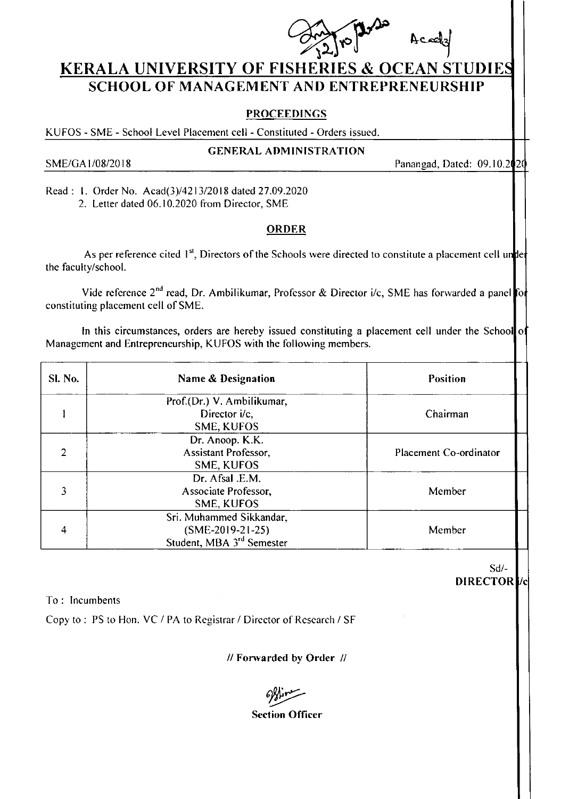

## KERALA UNIVERSITY OF FISHERIES & OCEAN STUDIE SCHOOL OF MANAGEMENT AND ENTREPRENEURSHIP

## PROCEEDINGS

KUFOS - SME - School Level Placement cell - Constituted - Orders issued.

**GENERAL ADMINISTRATION** 

SME/GA 1/08/2018 **Panangad, Dated: 09.10.2020** 

Read : 1. Order No. Acad(3)/4213/2018 dated 27.09.2020 2. Letter dated 06.10.2020 from Director, SME

## ORDER

As per reference cited 1<sup>st</sup>, Directors of the Schools were directed to constitute a placement cell un<mark>t</mark>e the faculty/school.

Vide reference 2<sup>nd</sup> read, Dr. Ambilikumar, Professor & Director i/c, SME has forwarded a panel for constituting placement cell of SME.

In this circumstances, orders are hereby issued constituting a placement cell under the School<mark>l</mark>o Management and Entrepreneurship, KUFOS with the following members.

| <b>Sl. No.</b> | Name & Designation                                                                      | <b>Position</b>        |
|----------------|-----------------------------------------------------------------------------------------|------------------------|
|                | Prof.(Dr.) V. Ambilikumar,<br>Director i/c.<br>SME, KUFOS                               | Chairman               |
| $\mathfrak{D}$ | Dr. Anoop. K.K.<br><b>Assistant Professor,</b><br>SME, KUFOS                            | Placement Co-ordinator |
| 3              | Dr. Afsal .E.M.<br>Associate Professor,<br>SME, KUFOS                                   | Member                 |
| 4              | Sri. Muhammed Sikkandar,<br>$(SME-2019-21-25)$<br>Student, MBA 3 <sup>rd</sup> Semester | Member                 |

sd/- DIRECTOR<sup>1</sup>

To: lncum bents

Copy to : PS to Hon. VC / PA to Registrar / Dircctor of Rcsearch / SF

// Fonvarded bv Order //

offine

**Section Officer**